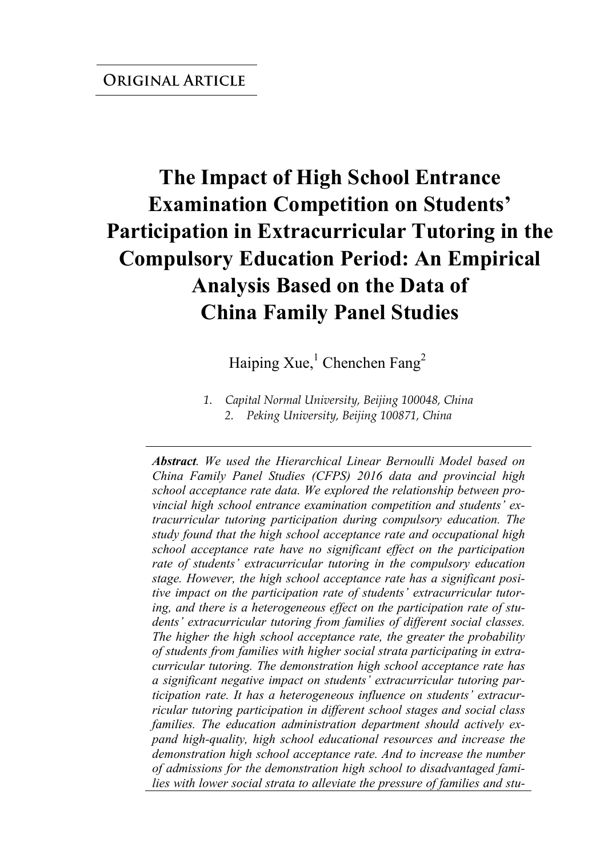# **The Impact of High School Entrance Examination Competition on Students' Participation in Extracurricular Tutoring in the Compulsory Education Period: An Empirical Analysis Based on the Data of China Family Panel Studies**

Haiping Xue,<sup>1</sup> Chenchen Fang<sup>2</sup>

*1. Capital Normal University, Beijing 100048, China 2. Peking University, Beijing 100871, China* 

*Abstract. We used the Hierarchical Linear Bernoulli Model based on China Family Panel Studies (CFPS) 2016 data and provincial high school acceptance rate data. We explored the relationship between provincial high school entrance examination competition and students' extracurricular tutoring participation during compulsory education. The study found that the high school acceptance rate and occupational high school acceptance rate have no significant effect on the participation rate of students' extracurricular tutoring in the compulsory education stage. However, the high school acceptance rate has a significant positive impact on the participation rate of students' extracurricular tutoring, and there is a heterogeneous effect on the participation rate of students' extracurricular tutoring from families of different social classes. The higher the high school acceptance rate, the greater the probability of students from families with higher social strata participating in extracurricular tutoring. The demonstration high school acceptance rate has a significant negative impact on students' extracurricular tutoring participation rate. It has a heterogeneous influence on students' extracurricular tutoring participation in different school stages and social class families. The education administration department should actively expand high-quality, high school educational resources and increase the demonstration high school acceptance rate. And to increase the number of admissions for the demonstration high school to disadvantaged families with lower social strata to alleviate the pressure of families and stu-*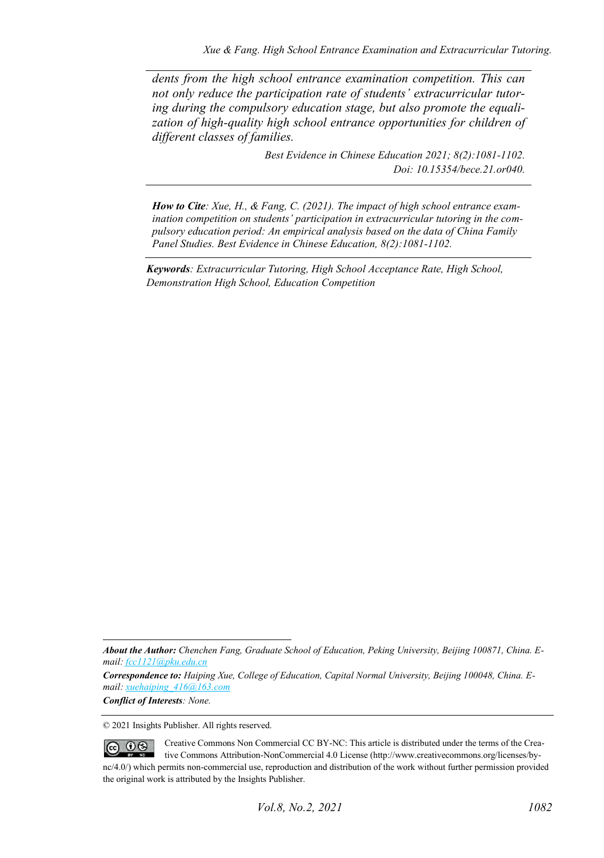*dents from the high school entrance examination competition. This can not only reduce the participation rate of students' extracurricular tutoring during the compulsory education stage, but also promote the equalization of high-quality high school entrance opportunities for children of different classes of families.*

> *Best Evidence in Chinese Education 2021; 8(2):1081-1102. Doi: 10.15354/bece.21.or040.*

*How to Cite: Xue, H., & Fang, C. (2021). The impact of high school entrance examination competition on students' participation in extracurricular tutoring in the compulsory education period: An empirical analysis based on the data of China Family Panel Studies. Best Evidence in Chinese Education, 8(2):1081-1102.*

*Keywords: Extracurricular Tutoring, High School Acceptance Rate, High School, Demonstration High School, Education Competition*

*Conflict of Interests: None.* 

© 2021 Insights Publisher. All rights reserved.

Creative Commons Non Commercial CC BY-NC: This article is distributed under the terms of the Crea- $\circledcirc$   $\circledcirc$ tive Commons Attribution-NonCommercial 4.0 License (http://www.creativecommons.org/licenses/bync/4.0/) which permits non-commercial use, reproduction and distribution of the work without further permission provided the original work is attributed by the Insights Publisher.

*About the Author: Chenchen Fang, Graduate School of Education, Peking University, Beijing 100871, China. Email[: fcc1121@pku.edu.cn](mailto:fcc1121@pku.edu.cn)*

*Correspondence to: Haiping Xue, College of Education, Capital Normal University, Beijing 100048, China. Email[: xuehaiping\\_416@163.com](mailto:xuehaiping_416@163.com)*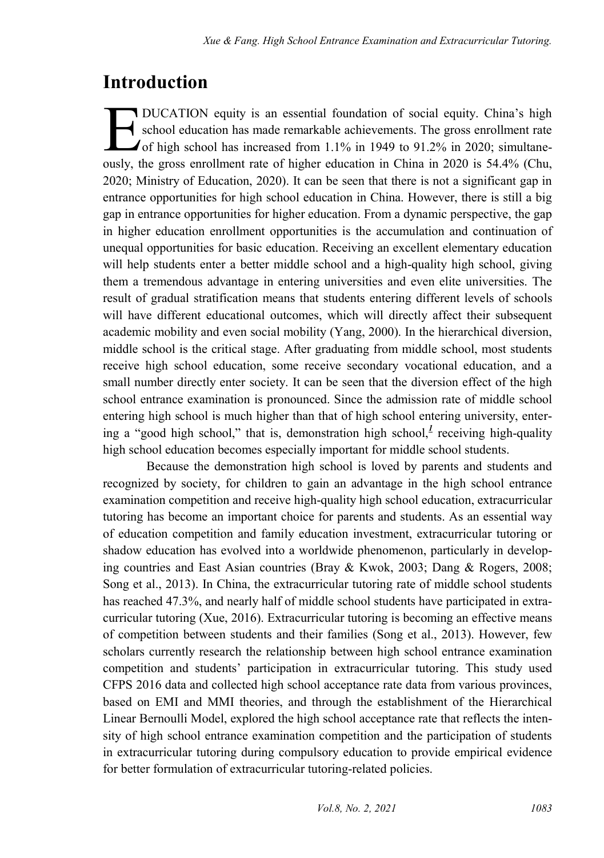### **Introduction**

**T** DUCATION equity is an essential foundation of social equity. China's high school education has made remarkable achievements. The gross enrollment rate of high school has increased from 1.1% in 1949 to 91.2% in 2020; simultane-DUCATION equity is an essential foundation of social equity. China's high school education has made remarkable achievements. The gross enrollment rate of high school has increased from 1.1% in 1949 to 91.2% in 2020; simult 2020; Ministry of Education, 2020). It can be seen that there is not a significant gap in entrance opportunities for high school education in China. However, there is still a big gap in entrance opportunities for higher education. From a dynamic perspective, the gap in higher education enrollment opportunities is the accumulation and continuation of unequal opportunities for basic education. Receiving an excellent elementary education will help students enter a better middle school and a high-quality high school, giving them a tremendous advantage in entering universities and even elite universities. The result of gradual stratification means that students entering different levels of schools will have different educational outcomes, which will directly affect their subsequent academic mobility and even social mobility (Yang, 2000). In the hierarchical diversion, middle school is the critical stage. After graduating from middle school, most students receive high school education, some receive secondary vocational education, and a small number directly enter society. It can be seen that the diversion effect of the high school entrance examination is pronounced. Since the admission rate of middle school entering high school is much higher than that of high school entering university, enter-ing a "good high school[,](#page-19-0)" that is, demonstration high school, $\frac{1}{x}$  receiving high-quality high school education becomes especially important for middle school students.

Because the demonstration high school is loved by parents and students and recognized by society, for children to gain an advantage in the high school entrance examination competition and receive high-quality high school education, extracurricular tutoring has become an important choice for parents and students. As an essential way of education competition and family education investment, extracurricular tutoring or shadow education has evolved into a worldwide phenomenon, particularly in developing countries and East Asian countries (Bray & Kwok, 2003; Dang & Rogers, 2008; Song et al., 2013). In China, the extracurricular tutoring rate of middle school students has reached 47.3%, and nearly half of middle school students have participated in extracurricular tutoring (Xue, 2016). Extracurricular tutoring is becoming an effective means of competition between students and their families (Song et al., 2013). However, few scholars currently research the relationship between high school entrance examination competition and students' participation in extracurricular tutoring. This study used CFPS 2016 data and collected high school acceptance rate data from various provinces, based on EMI and MMI theories, and through the establishment of the Hierarchical Linear Bernoulli Model, explored the high school acceptance rate that reflects the intensity of high school entrance examination competition and the participation of students in extracurricular tutoring during compulsory education to provide empirical evidence for better formulation of extracurricular tutoring-related policies.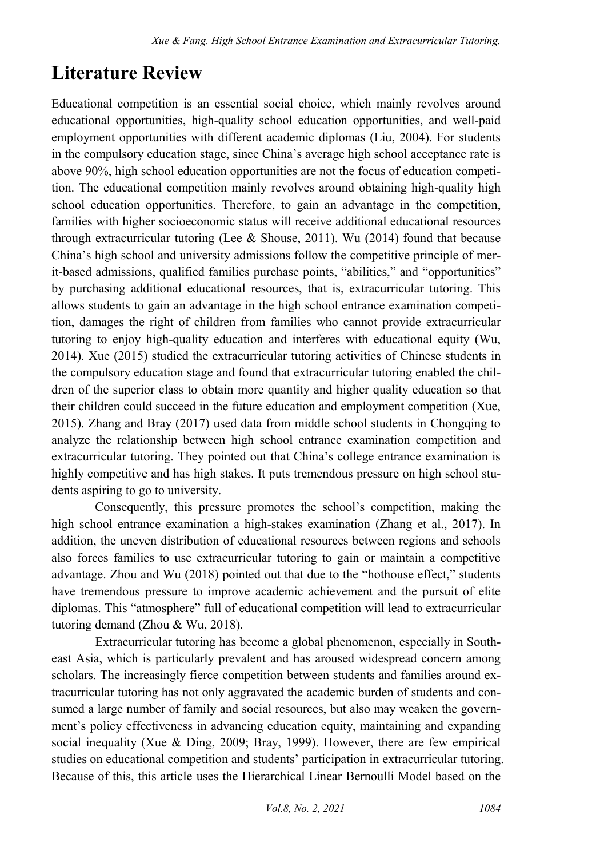## **Literature Review**

Educational competition is an essential social choice, which mainly revolves around educational opportunities, high-quality school education opportunities, and well-paid employment opportunities with different academic diplomas (Liu, 2004). For students in the compulsory education stage, since China's average high school acceptance rate is above 90%, high school education opportunities are not the focus of education competition. The educational competition mainly revolves around obtaining high-quality high school education opportunities. Therefore, to gain an advantage in the competition, families with higher socioeconomic status will receive additional educational resources through extracurricular tutoring (Lee & Shouse, 2011). Wu (2014) found that because China's high school and university admissions follow the competitive principle of merit-based admissions, qualified families purchase points, "abilities," and "opportunities" by purchasing additional educational resources, that is, extracurricular tutoring. This allows students to gain an advantage in the high school entrance examination competition, damages the right of children from families who cannot provide extracurricular tutoring to enjoy high-quality education and interferes with educational equity (Wu, 2014). Xue (2015) studied the extracurricular tutoring activities of Chinese students in the compulsory education stage and found that extracurricular tutoring enabled the children of the superior class to obtain more quantity and higher quality education so that their children could succeed in the future education and employment competition (Xue, 2015). Zhang and Bray (2017) used data from middle school students in Chongqing to analyze the relationship between high school entrance examination competition and extracurricular tutoring. They pointed out that China's college entrance examination is highly competitive and has high stakes. It puts tremendous pressure on high school students aspiring to go to university.

Consequently, this pressure promotes the school's competition, making the high school entrance examination a high-stakes examination (Zhang et al., 2017). In addition, the uneven distribution of educational resources between regions and schools also forces families to use extracurricular tutoring to gain or maintain a competitive advantage. Zhou and Wu (2018) pointed out that due to the "hothouse effect," students have tremendous pressure to improve academic achievement and the pursuit of elite diplomas. This "atmosphere" full of educational competition will lead to extracurricular tutoring demand (Zhou & Wu, 2018).

Extracurricular tutoring has become a global phenomenon, especially in Southeast Asia, which is particularly prevalent and has aroused widespread concern among scholars. The increasingly fierce competition between students and families around extracurricular tutoring has not only aggravated the academic burden of students and consumed a large number of family and social resources, but also may weaken the government's policy effectiveness in advancing education equity, maintaining and expanding social inequality (Xue & Ding, 2009; Bray, 1999). However, there are few empirical studies on educational competition and students' participation in extracurricular tutoring. Because of this, this article uses the Hierarchical Linear Bernoulli Model based on the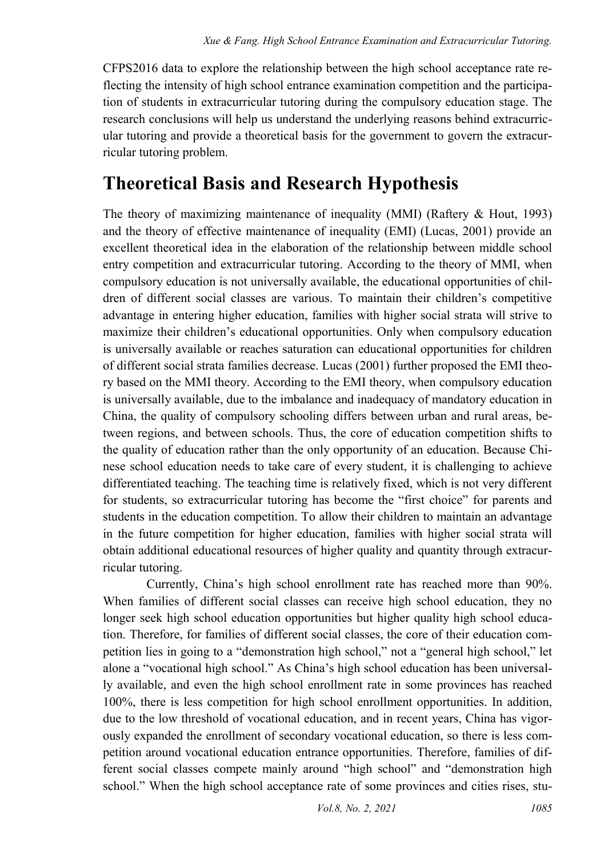CFPS2016 data to explore the relationship between the high school acceptance rate reflecting the intensity of high school entrance examination competition and the participation of students in extracurricular tutoring during the compulsory education stage. The research conclusions will help us understand the underlying reasons behind extracurricular tutoring and provide a theoretical basis for the government to govern the extracurricular tutoring problem.

## **Theoretical Basis and Research Hypothesis**

The theory of maximizing maintenance of inequality (MMI) (Raftery & Hout, 1993) and the theory of effective maintenance of inequality (EMI) (Lucas, 2001) provide an excellent theoretical idea in the elaboration of the relationship between middle school entry competition and extracurricular tutoring. According to the theory of MMI, when compulsory education is not universally available, the educational opportunities of children of different social classes are various. To maintain their children's competitive advantage in entering higher education, families with higher social strata will strive to maximize their children's educational opportunities. Only when compulsory education is universally available or reaches saturation can educational opportunities for children of different social strata families decrease. Lucas (2001) further proposed the EMI theory based on the MMI theory. According to the EMI theory, when compulsory education is universally available, due to the imbalance and inadequacy of mandatory education in China, the quality of compulsory schooling differs between urban and rural areas, between regions, and between schools. Thus, the core of education competition shifts to the quality of education rather than the only opportunity of an education. Because Chinese school education needs to take care of every student, it is challenging to achieve differentiated teaching. The teaching time is relatively fixed, which is not very different for students, so extracurricular tutoring has become the "first choice" for parents and students in the education competition. To allow their children to maintain an advantage in the future competition for higher education, families with higher social strata will obtain additional educational resources of higher quality and quantity through extracurricular tutoring.

Currently, China's high school enrollment rate has reached more than 90%. When families of different social classes can receive high school education, they no longer seek high school education opportunities but higher quality high school education. Therefore, for families of different social classes, the core of their education competition lies in going to a "demonstration high school," not a "general high school," let alone a "vocational high school." As China's high school education has been universally available, and even the high school enrollment rate in some provinces has reached 100%, there is less competition for high school enrollment opportunities. In addition, due to the low threshold of vocational education, and in recent years, China has vigorously expanded the enrollment of secondary vocational education, so there is less competition around vocational education entrance opportunities. Therefore, families of different social classes compete mainly around "high school" and "demonstration high school." When the high school acceptance rate of some provinces and cities rises, stu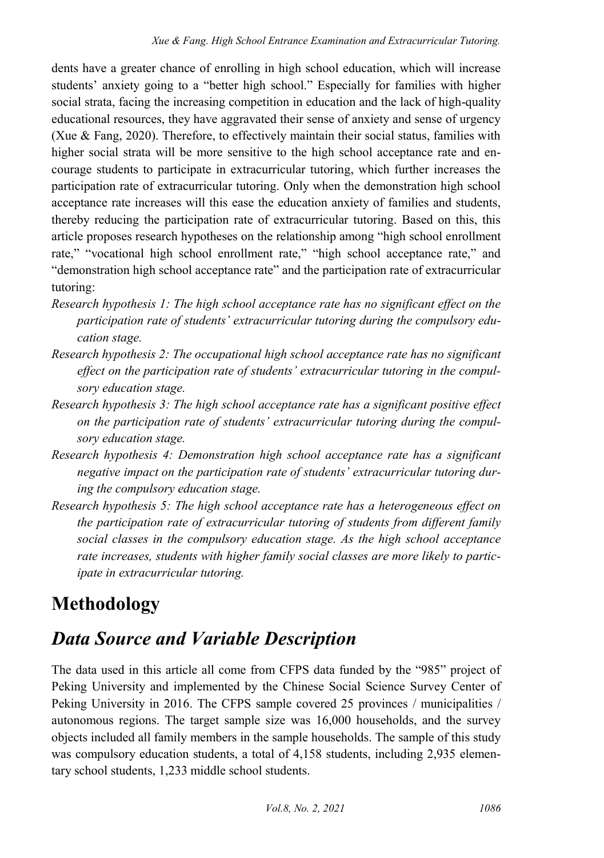dents have a greater chance of enrolling in high school education, which will increase students' anxiety going to a "better high school." Especially for families with higher social strata, facing the increasing competition in education and the lack of high-quality educational resources, they have aggravated their sense of anxiety and sense of urgency (Xue & Fang, 2020). Therefore, to effectively maintain their social status, families with higher social strata will be more sensitive to the high school acceptance rate and encourage students to participate in extracurricular tutoring, which further increases the participation rate of extracurricular tutoring. Only when the demonstration high school acceptance rate increases will this ease the education anxiety of families and students, thereby reducing the participation rate of extracurricular tutoring. Based on this, this article proposes research hypotheses on the relationship among "high school enrollment rate," "vocational high school enrollment rate," "high school acceptance rate," and "demonstration high school acceptance rate" and the participation rate of extracurricular tutoring:

- *Research hypothesis 1: The high school acceptance rate has no significant effect on the participation rate of students' extracurricular tutoring during the compulsory education stage.*
- *Research hypothesis 2: The occupational high school acceptance rate has no significant effect on the participation rate of students' extracurricular tutoring in the compulsory education stage.*
- *Research hypothesis 3: The high school acceptance rate has a significant positive effect on the participation rate of students' extracurricular tutoring during the compulsory education stage.*
- *Research hypothesis 4: Demonstration high school acceptance rate has a significant negative impact on the participation rate of students' extracurricular tutoring during the compulsory education stage.*
- *Research hypothesis 5: The high school acceptance rate has a heterogeneous effect on the participation rate of extracurricular tutoring of students from different family social classes in the compulsory education stage. As the high school acceptance rate increases, students with higher family social classes are more likely to participate in extracurricular tutoring.*

## **Methodology**

## *Data Source and Variable Description*

The data used in this article all come from CFPS data funded by the "985" project of Peking University and implemented by the Chinese Social Science Survey Center of Peking University in 2016. The CFPS sample covered 25 provinces / municipalities / autonomous regions. The target sample size was 16,000 households, and the survey objects included all family members in the sample households. The sample of this study was compulsory education students, a total of 4,158 students, including 2,935 elementary school students, 1,233 middle school students.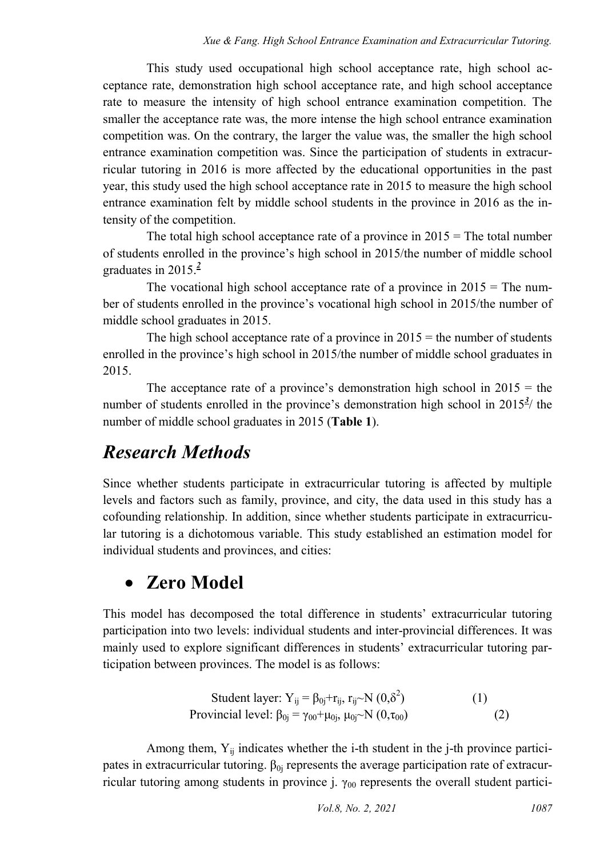This study used occupational high school acceptance rate, high school acceptance rate, demonstration high school acceptance rate, and high school acceptance rate to measure the intensity of high school entrance examination competition. The smaller the acceptance rate was, the more intense the high school entrance examination competition was. On the contrary, the larger the value was, the smaller the high school entrance examination competition was. Since the participation of students in extracurricular tutoring in 2016 is more affected by the educational opportunities in the past year, this study used the high school acceptance rate in 2015 to measure the high school entrance examination felt by middle school students in the province in 2016 as the intensity of the competition.

The total high school acceptance rate of a province in  $2015$  = The total number of students enrolled in the province's high school in 2015/the number of middle school graduates in 2015[.](#page-19-1)*<sup>2</sup>*

The vocational high school acceptance rate of a province in  $2015 =$ The number of students enrolled in the province's vocational high school in 2015/the number of middle school graduates in 2015.

The high school acceptance rate of a province in  $2015$  = the number of students enrolled in the province's high school in 2015/the number of middle school graduates in 2015.

The acceptance rate of a province's demonstration high school in  $2015 =$  the number of students enrolled in the province's demonstration high school in  $2015^3$  $2015^3$  $2015^3$ / the number of middle school graduates in 2015 (**Table 1**).

## *Research Methods*

Since whether students participate in extracurricular tutoring is affected by multiple levels and factors such as family, province, and city, the data used in this study has a cofounding relationship. In addition, since whether students participate in extracurricular tutoring is a dichotomous variable. This study established an estimation model for individual students and provinces, and cities:

## **Zero Model**

This model has decomposed the total difference in students' extracurricular tutoring participation into two levels: individual students and inter-provincial differences. It was mainly used to explore significant differences in students' extracurricular tutoring participation between provinces. The model is as follows:

Student layer: 
$$
Y_{ij} = \beta_{0j} + r_{ij}
$$
,  $r_{ij} \sim N(0, \delta^2)$  (1)  
Provincia level:  $\beta_{0j} = \gamma_{00} + \mu_{0j}$ ,  $\mu_{0j} \sim N(0, \tau_{00})$  (2)

Among them,  $Y_{ij}$  indicates whether the i-th student in the j-th province participates in extracurricular tutoring.  $\beta_{0i}$  represents the average participation rate of extracurricular tutoring among students in province j.  $\gamma_{00}$  represents the overall student partici-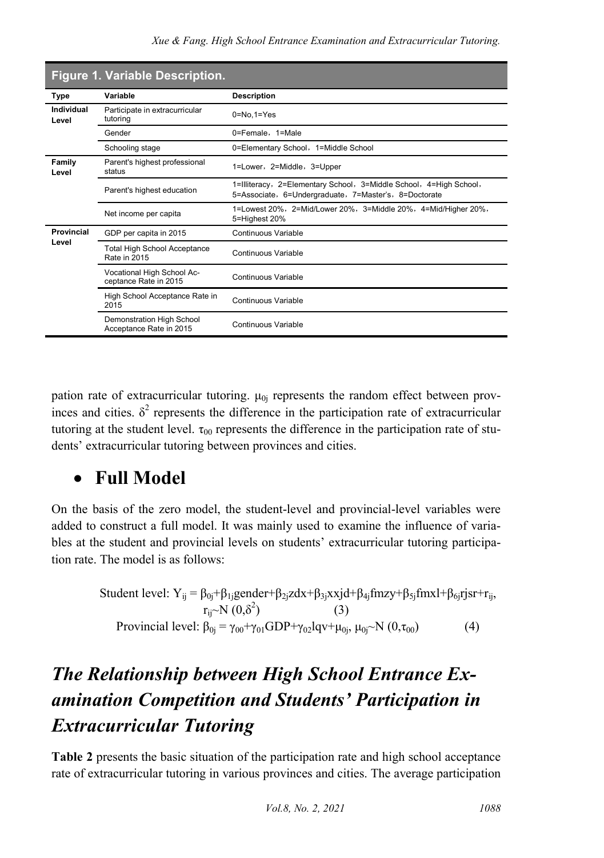|                     | <b>Figure 1. Variable Description.</b>                     |                                                                                                                             |  |  |  |  |  |
|---------------------|------------------------------------------------------------|-----------------------------------------------------------------------------------------------------------------------------|--|--|--|--|--|
| Type                | Variable                                                   | <b>Description</b>                                                                                                          |  |  |  |  |  |
| Individual<br>Level | Participate in extracurricular<br>tutoring                 | $0 = No.1 = Yes$                                                                                                            |  |  |  |  |  |
|                     | Gender                                                     | 0=Female, 1=Male                                                                                                            |  |  |  |  |  |
|                     | Schooling stage                                            | 0=Elementary School, 1=Middle School                                                                                        |  |  |  |  |  |
| Family<br>Level     | Parent's highest professional<br>status                    | 1=Lower, 2=Middle, 3=Upper                                                                                                  |  |  |  |  |  |
|                     | Parent's highest education                                 | 1=Illiteracy, 2=Elementary School, 3=Middle School, 4=High School,<br>5=Associate, 6=Undergraduate, 7=Master's, 8=Doctorate |  |  |  |  |  |
|                     | Net income per capita                                      | 1=Lowest 20%,2=Mid/Lower 20%,3=Middle 20%,4=Mid/Higher 20%,<br>5=Highest 20%                                                |  |  |  |  |  |
| Provincial          | GDP per capita in 2015                                     | Continuous Variable                                                                                                         |  |  |  |  |  |
| Level               | <b>Total High School Acceptance</b><br><b>Rate in 2015</b> | Continuous Variable                                                                                                         |  |  |  |  |  |
|                     | Vocational High School Ac-<br>ceptance Rate in 2015        | Continuous Variable                                                                                                         |  |  |  |  |  |
|                     | High School Acceptance Rate in<br>2015                     | Continuous Variable                                                                                                         |  |  |  |  |  |
|                     | Demonstration High School<br>Acceptance Rate in 2015       | Continuous Variable                                                                                                         |  |  |  |  |  |

pation rate of extracurricular tutoring.  $\mu_{0i}$  represents the random effect between provinces and cities.  $\delta^2$  represents the difference in the participation rate of extracurricular tutoring at the student level.  $\tau_{00}$  represents the difference in the participation rate of students' extracurricular tutoring between provinces and cities.

## **Full Model**

On the basis of the zero model, the student-level and provincial-level variables were added to construct a full model. It was mainly used to examine the influence of variables at the student and provincial levels on students' extracurricular tutoring participation rate. The model is as follows:

Student level: 
$$
Y_{ij} = \beta_{0j} + \beta_{1j} \text{gender} + \beta_{2j} z dx + \beta_{3j} x x j d + \beta_{4j} \text{fm} z y + \beta_{5j} \text{fm} x l + \beta_{6j} \text{rj} s r + r_{ij},
$$
  
\n $r_{ij} \sim N(0, \delta^2)$  (3)  
\nProvincia level:  $\beta_{0j} = \gamma_{00} + \gamma_{01} \text{GDP} + \gamma_{02} l q v + \mu_{0j}, \mu_{0j} \sim N(0, \tau_{00})$  (4)

## *The Relationship between High School Entrance Examination Competition and Students' Participation in Extracurricular Tutoring*

**Table 2** presents the basic situation of the participation rate and high school acceptance rate of extracurricular tutoring in various provinces and cities. The average participation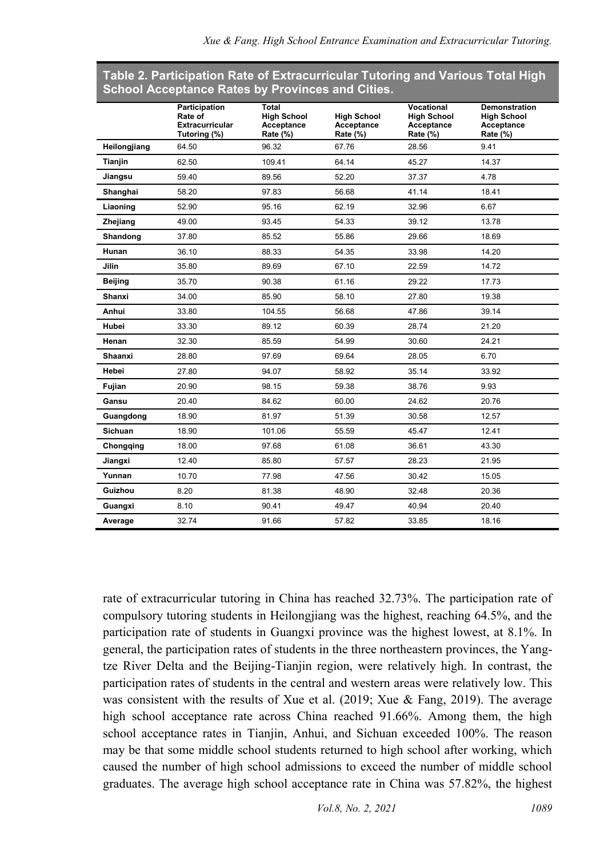#### **Table 2. Participation Rate of Extracurricular Tutoring and Various Total High School Acceptance Rates by Provinces and Cities.**

|                | Participation<br>Rate of<br><b>Extracurricular</b><br>Tutoring (%) | Total<br><b>High School</b><br>Acceptance<br>Rate (%) | <b>High School</b><br>Acceptance<br>Rate (%) | Vocational<br><b>High School</b><br>Acceptance<br>Rate (%) | <b>Demonstration</b><br><b>High School</b><br>Acceptance<br>Rate (%) |
|----------------|--------------------------------------------------------------------|-------------------------------------------------------|----------------------------------------------|------------------------------------------------------------|----------------------------------------------------------------------|
| Heilongjiang   | 64.50                                                              | 96.32                                                 | 67.76                                        | 28.56                                                      | 9.41                                                                 |
| Tianjin        | 62.50                                                              | 109.41                                                | 64.14                                        | 45.27                                                      | 14.37                                                                |
| Jiangsu        | 59.40                                                              | 89.56                                                 | 52.20                                        | 37.37                                                      | 4.78                                                                 |
| Shanghai       | 58.20                                                              | 97.83                                                 | 56.68                                        | 41.14                                                      | 18.41                                                                |
| Liaoning       | 52.90                                                              | 95.16                                                 | 62.19                                        | 32.96                                                      | 6.67                                                                 |
| Zhejiang       | 49.00                                                              | 93.45                                                 | 54.33                                        | 39.12                                                      | 13.78                                                                |
| Shandong       | 37.80                                                              | 85.52                                                 | 55.86                                        | 29.66                                                      | 18.69                                                                |
| Hunan          | 36.10                                                              | 88.33                                                 | 54.35                                        | 33.98                                                      | 14.20                                                                |
| Jilin          | 35.80                                                              | 89.69                                                 | 67.10                                        | 22.59                                                      | 14.72                                                                |
| <b>Beijing</b> | 35.70                                                              | 90.38                                                 | 61.16                                        | 29.22                                                      | 17.73                                                                |
| Shanxi         | 34.00                                                              | 85.90                                                 | 58.10                                        | 27.80                                                      | 19.38                                                                |
| Anhui          | 33.80                                                              | 104.55                                                | 56.68                                        | 47.86                                                      | 39.14                                                                |
| Hubei          | 33.30                                                              | 89.12                                                 | 60.39                                        | 28.74                                                      | 21.20                                                                |
| Henan          | 32.30                                                              | 85.59                                                 | 54.99                                        | 30.60                                                      | 24.21                                                                |
| Shaanxi        | 28.80                                                              | 97.69                                                 | 69.64                                        | 28.05                                                      | 6.70                                                                 |
| Hebei          | 27.80                                                              | 94.07                                                 | 58.92                                        | 35.14                                                      | 33.92                                                                |
| Fujian         | 20.90                                                              | 98.15                                                 | 59.38                                        | 38.76                                                      | 9.93                                                                 |
| Gansu          | 20.40                                                              | 84.62                                                 | 60.00                                        | 24.62                                                      | 20.76                                                                |
| Guangdong      | 18.90                                                              | 81.97                                                 | 51.39                                        | 30.58                                                      | 12.57                                                                |
| Sichuan        | 18.90                                                              | 101.06                                                | 55.59                                        | 45.47                                                      | 12.41                                                                |
| Chongging      | 18.00                                                              | 97.68                                                 | 61.08                                        | 36.61                                                      | 43.30                                                                |
| Jiangxi        | 12.40                                                              | 85.80                                                 | 57.57                                        | 28.23                                                      | 21.95                                                                |
| Yunnan         | 10.70                                                              | 77.98                                                 | 47.56                                        | 30.42                                                      | 15.05                                                                |
| Guizhou        | 8.20                                                               | 81.38                                                 | 48.90                                        | 32.48                                                      | 20.36                                                                |
| Guangxi        | 8.10                                                               | 90.41                                                 | 49.47                                        | 40.94                                                      | 20.40                                                                |
| Average        | 32.74                                                              | 91.66                                                 | 57.82                                        | 33.85                                                      | 18.16                                                                |

rate of extracurricular tutoring in China has reached 32.73%. The participation rate of compulsory tutoring students in Heilongjiang was the highest, reaching 64.5%, and the participation rate of students in Guangxi province was the highest lowest, at 8.1%. In general, the participation rates of students in the three northeastern provinces, the Yangtze River Delta and the Beijing-Tianjin region, were relatively high. In contrast, the participation rates of students in the central and western areas were relatively low. This was consistent with the results of Xue et al. (2019; Xue & Fang, 2019). The average high school acceptance rate across China reached 91.66%. Among them, the high school acceptance rates in Tianjin, Anhui, and Sichuan exceeded 100%. The reason may be that some middle school students returned to high school after working, which caused the number of high school admissions to exceed the number of middle school graduates. The average high school acceptance rate in China was 57.82%, the highest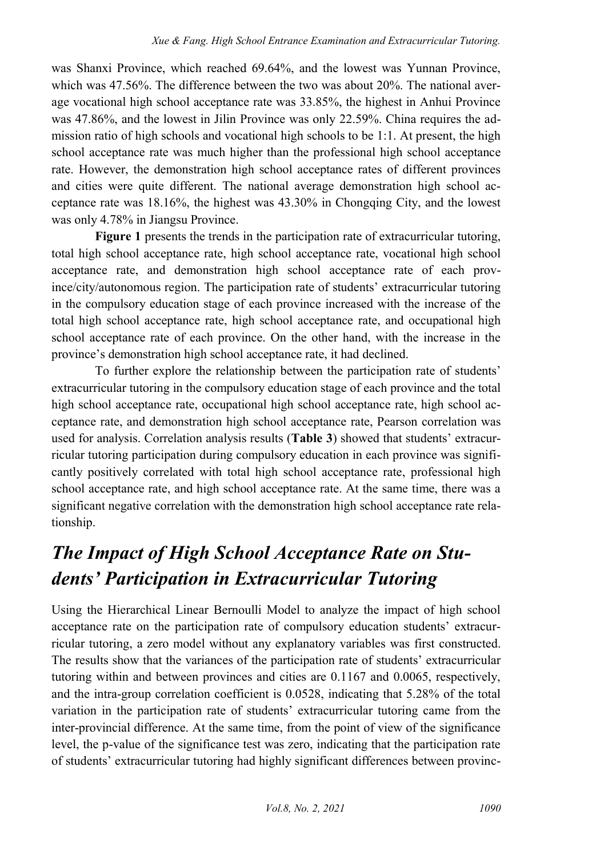was Shanxi Province, which reached 69.64%, and the lowest was Yunnan Province, which was 47.56%. The difference between the two was about 20%. The national average vocational high school acceptance rate was 33.85%, the highest in Anhui Province was 47.86%, and the lowest in Jilin Province was only 22.59%. China requires the admission ratio of high schools and vocational high schools to be 1:1. At present, the high school acceptance rate was much higher than the professional high school acceptance rate. However, the demonstration high school acceptance rates of different provinces and cities were quite different. The national average demonstration high school acceptance rate was 18.16%, the highest was 43.30% in Chongqing City, and the lowest was only 4.78% in Jiangsu Province.

**Figure 1** presents the trends in the participation rate of extracurricular tutoring, total high school acceptance rate, high school acceptance rate, vocational high school acceptance rate, and demonstration high school acceptance rate of each province/city/autonomous region. The participation rate of students' extracurricular tutoring in the compulsory education stage of each province increased with the increase of the total high school acceptance rate, high school acceptance rate, and occupational high school acceptance rate of each province. On the other hand, with the increase in the province's demonstration high school acceptance rate, it had declined.

To further explore the relationship between the participation rate of students' extracurricular tutoring in the compulsory education stage of each province and the total high school acceptance rate, occupational high school acceptance rate, high school acceptance rate, and demonstration high school acceptance rate, Pearson correlation was used for analysis. Correlation analysis results (**Table 3**) showed that students' extracurricular tutoring participation during compulsory education in each province was significantly positively correlated with total high school acceptance rate, professional high school acceptance rate, and high school acceptance rate. At the same time, there was a significant negative correlation with the demonstration high school acceptance rate relationship.

## *The Impact of High School Acceptance Rate on Students' Participation in Extracurricular Tutoring*

Using the Hierarchical Linear Bernoulli Model to analyze the impact of high school acceptance rate on the participation rate of compulsory education students' extracurricular tutoring, a zero model without any explanatory variables was first constructed. The results show that the variances of the participation rate of students' extracurricular tutoring within and between provinces and cities are 0.1167 and 0.0065, respectively, and the intra-group correlation coefficient is 0.0528, indicating that 5.28% of the total variation in the participation rate of students' extracurricular tutoring came from the inter-provincial difference. At the same time, from the point of view of the significance level, the p-value of the significance test was zero, indicating that the participation rate of students' extracurricular tutoring had highly significant differences between provinc-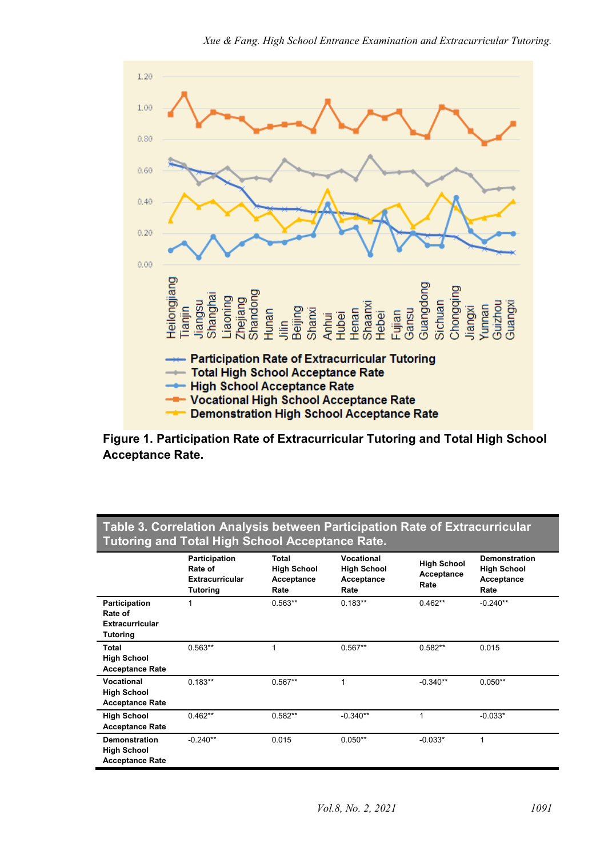

**Figure 1. Participation Rate of Extracurricular Tutoring and Total High School Acceptance Rate.** 

| Tutoring and Total High School Acceptance Rate.                      |                                                                |                                                   |                                                        |                                          |                                                                  |  |  |  |  |  |
|----------------------------------------------------------------------|----------------------------------------------------------------|---------------------------------------------------|--------------------------------------------------------|------------------------------------------|------------------------------------------------------------------|--|--|--|--|--|
|                                                                      | Participation<br>Rate of<br><b>Extracurricular</b><br>Tutoring | Total<br><b>High School</b><br>Acceptance<br>Rate | Vocational<br><b>High School</b><br>Acceptance<br>Rate | <b>High School</b><br>Acceptance<br>Rate | <b>Demonstration</b><br><b>High School</b><br>Acceptance<br>Rate |  |  |  |  |  |
| Participation<br>Rate of<br><b>Extracurricular</b><br>Tutoring       | 1                                                              | $0.563**$                                         | $0.183**$                                              | $0.462**$                                | $-0.240**$                                                       |  |  |  |  |  |
| Total<br><b>High School</b><br><b>Acceptance Rate</b>                | $0.563**$                                                      |                                                   | $0.567**$                                              | $0.582**$                                | 0.015                                                            |  |  |  |  |  |
| Vocational<br><b>High School</b><br><b>Acceptance Rate</b>           | $0.183**$                                                      | $0.567**$                                         | 1                                                      | $-0.340**$                               | $0.050**$                                                        |  |  |  |  |  |
| <b>High School</b><br><b>Acceptance Rate</b>                         | $0.462**$                                                      | $0.582**$                                         | $-0.340**$                                             | 1                                        | $-0.033*$                                                        |  |  |  |  |  |
| <b>Demonstration</b><br><b>High School</b><br><b>Acceptance Rate</b> | $-0.240**$                                                     | 0.015                                             | $0.050**$                                              | $-0.033*$                                | 1                                                                |  |  |  |  |  |

#### **Table 3. Correlation Analysis between Participation Rate of Extracurricular Tutoring and Total High School Acceptance Rate.**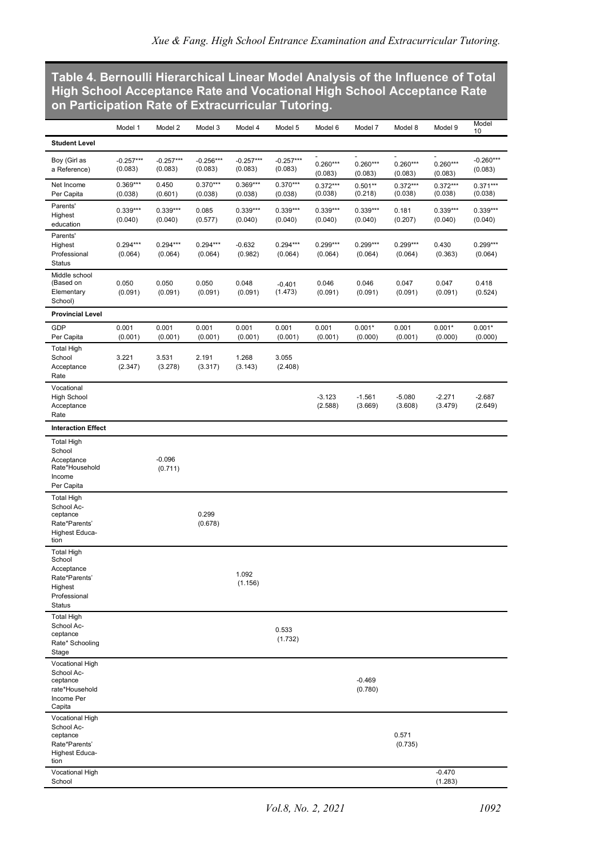#### **Table 4. Bernoulli [Hierarchical](http://scholar.google.com/scholar_url?url=http://www.shehui.pku.edu.cn/upload/editor/file/20180316/20180316085041_4299.pdf&hl=zh-CN&sa=X&ei=Uyv3YMmGCPGAy9YPoYy3sAQ&scisig=AAGBfm0AbW_5yeDXT0YiGX-87405Lth_XA&nossl=1&oi=scholarr) Linear Model Analysis of the Influence of Total High School Acceptance Rate and Vocational High School Acceptance Rate on Participation Rate of Extracurricular Tutoring.**

|                                                                                                 | Model 1                | Model 2                | Model 3                | Model 4                | Model 5                | Model 6               | Model 7               | Model 8               | Model 9               | Model<br>10            |
|-------------------------------------------------------------------------------------------------|------------------------|------------------------|------------------------|------------------------|------------------------|-----------------------|-----------------------|-----------------------|-----------------------|------------------------|
| <b>Student Level</b>                                                                            |                        |                        |                        |                        |                        |                       |                       |                       |                       |                        |
| Boy (Girl as<br>a Reference)                                                                    | $-0.257***$<br>(0.083) | $-0.257***$<br>(0.083) | $-0.256***$<br>(0.083) | $-0.257***$<br>(0.083) | $-0.257***$<br>(0.083) | $0.260***$<br>(0.083) | $0.260***$<br>(0.083) | $0.260***$<br>(0.083) | $0.260***$<br>(0.083) | $-0.260***$<br>(0.083) |
| Net Income<br>Per Capita                                                                        | $0.369***$<br>(0.038)  | 0.450<br>(0.601)       | $0.370***$<br>(0.038)  | $0.369***$<br>(0.038)  | $0.370***$<br>(0.038)  | $0.372***$<br>(0.038) | $0.501**$<br>(0.218)  | $0.372***$<br>(0.038) | $0.372***$<br>(0.038) | $0.371***$<br>(0.038)  |
| Parents'<br>Highest<br>education                                                                | $0.339***$<br>(0.040)  | $0.339***$<br>(0.040)  | 0.085<br>(0.577)       | $0.339***$<br>(0.040)  | $0.339***$<br>(0.040)  | $0.339***$<br>(0.040) | $0.339***$<br>(0.040) | 0.181<br>(0.207)      | $0.339***$<br>(0.040) | $0.339***$<br>(0.040)  |
| Parents'<br>Highest<br>Professional<br><b>Status</b>                                            | $0.294***$<br>(0.064)  | $0.294***$<br>(0.064)  | $0.294***$<br>(0.064)  | $-0.632$<br>(0.982)    | $0.294***$<br>(0.064)  | $0.299***$<br>(0.064) | $0.299***$<br>(0.064) | $0.299***$<br>(0.064) | 0.430<br>(0.363)      | $0.299***$<br>(0.064)  |
| Middle school<br>(Based on<br>Elementary<br>School)                                             | 0.050<br>(0.091)       | 0.050<br>(0.091)       | 0.050<br>(0.091)       | 0.048<br>(0.091)       | $-0.401$<br>(1.473)    | 0.046<br>(0.091)      | 0.046<br>(0.091)      | 0.047<br>(0.091)      | 0.047<br>(0.091)      | 0.418<br>(0.524)       |
| <b>Provincial Level</b>                                                                         |                        |                        |                        |                        |                        |                       |                       |                       |                       |                        |
| GDP<br>Per Capita                                                                               | 0.001<br>(0.001)       | 0.001<br>(0.001)       | 0.001<br>(0.001)       | 0.001<br>(0.001)       | 0.001<br>(0.001)       | 0.001<br>(0.001)      | $0.001*$<br>(0.000)   | 0.001<br>(0.001)      | $0.001*$<br>(0.000)   | $0.001*$<br>(0.000)    |
| <b>Total High</b><br>School<br>Acceptance<br>Rate                                               | 3.221<br>(2.347)       | 3.531<br>(3.278)       | 2.191<br>(3.317)       | 1.268<br>(3.143)       | 3.055<br>(2.408)       |                       |                       |                       |                       |                        |
| Vocational<br><b>High School</b><br>Acceptance<br>Rate                                          |                        |                        |                        |                        |                        | $-3.123$<br>(2.588)   | $-1.561$<br>(3.669)   | $-5.080$<br>(3.608)   | $-2.271$<br>(3.479)   | $-2.687$<br>(2.649)    |
| <b>Interaction Effect</b>                                                                       |                        |                        |                        |                        |                        |                       |                       |                       |                       |                        |
| <b>Total High</b><br>School<br>Acceptance<br>Rate*Household<br>Income<br>Per Capita             |                        | $-0.096$<br>(0.711)    |                        |                        |                        |                       |                       |                       |                       |                        |
| <b>Total High</b><br>School Ac-<br>ceptance<br>Rate*Parents'<br>Highest Educa-<br>tion          |                        |                        | 0.299<br>(0.678)       |                        |                        |                       |                       |                       |                       |                        |
| <b>Total High</b><br>School<br>Acceptance<br>Rate*Parents'<br>Highest<br>Professional<br>Status |                        |                        |                        | 1.092<br>(1.156)       |                        |                       |                       |                       |                       |                        |
| <b>Total High</b><br>School Ac-<br>ceptance<br>Rate* Schooling<br>Stage                         |                        |                        |                        |                        | 0.533<br>(1.732)       |                       |                       |                       |                       |                        |
| Vocational High<br>School Ac-<br>ceptance<br>rate*Household<br>Income Per<br>Capita             |                        |                        |                        |                        |                        |                       | $-0.469$<br>(0.780)   |                       |                       |                        |
| Vocational High<br>School Ac-<br>ceptance<br>Rate*Parents'<br>Highest Educa-<br>tion            |                        |                        |                        |                        |                        |                       |                       | 0.571<br>(0.735)      |                       |                        |
| Vocational High<br>School                                                                       |                        |                        |                        |                        |                        |                       |                       |                       | $-0.470$<br>(1.283)   |                        |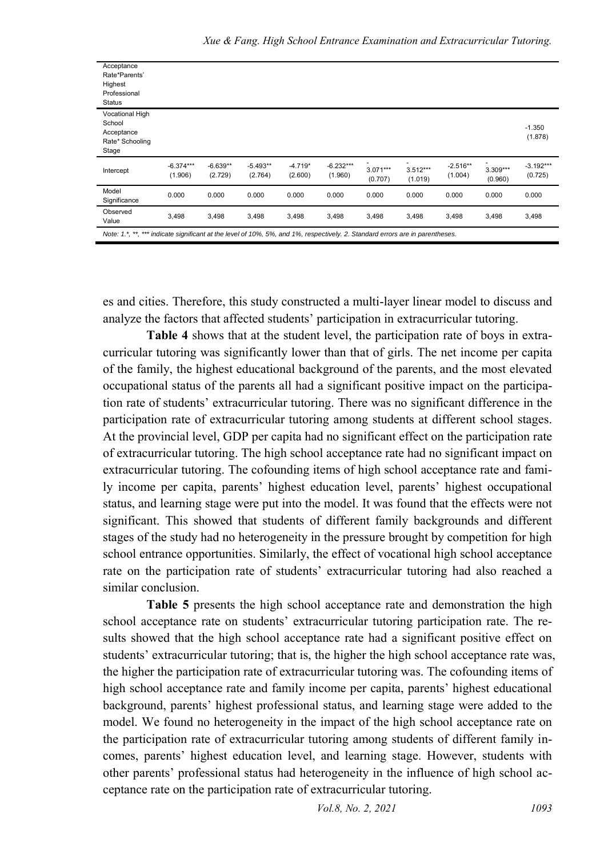| Acceptance<br>Rate*Parents'<br>Highest<br>Professional<br>Status           |                        |                       |                       |                      |                        |                       |                            |                       |                       |                        |
|----------------------------------------------------------------------------|------------------------|-----------------------|-----------------------|----------------------|------------------------|-----------------------|----------------------------|-----------------------|-----------------------|------------------------|
| <b>Vocational High</b><br>School<br>Acceptance<br>Rate* Schooling<br>Stage |                        |                       |                       |                      |                        |                       |                            |                       |                       | $-1.350$<br>(1.878)    |
| Intercept                                                                  | $-6.374***$<br>(1.906) | $-6.639**$<br>(2.729) | $-5.493**$<br>(2.764) | $-4.719*$<br>(2.600) | $-6.232***$<br>(1.960) | $3.071***$<br>(0.707) | ٠<br>$3.512***$<br>(1.019) | $-2.516**$<br>(1.004) | $3.309***$<br>(0.960) | $-3.192***$<br>(0.725) |
| Model<br>Significance                                                      | 0.000                  | 0.000                 | 0.000                 | 0.000                | 0.000                  | 0.000                 | 0.000                      | 0.000                 | 0.000                 | 0.000                  |
| Observed<br>Value                                                          | 3,498                  | 3,498                 | 3,498                 | 3,498                | 3,498                  | 3,498                 | 3,498                      | 3,498                 | 3,498                 | 3,498                  |

es and cities. Therefore, this study constructed a multi-layer linear model to discuss and analyze the factors that affected students' participation in extracurricular tutoring.

**Table 4** shows that at the student level, the participation rate of boys in extracurricular tutoring was significantly lower than that of girls. The net income per capita of the family, the highest educational background of the parents, and the most elevated occupational status of the parents all had a significant positive impact on the participation rate of students' extracurricular tutoring. There was no significant difference in the participation rate of extracurricular tutoring among students at different school stages. At the provincial level, GDP per capita had no significant effect on the participation rate of extracurricular tutoring. The high school acceptance rate had no significant impact on extracurricular tutoring. The cofounding items of high school acceptance rate and family income per capita, parents' highest education level, parents' highest occupational status, and learning stage were put into the model. It was found that the effects were not significant. This showed that students of different family backgrounds and different stages of the study had no heterogeneity in the pressure brought by competition for high school entrance opportunities. Similarly, the effect of vocational high school acceptance rate on the participation rate of students' extracurricular tutoring had also reached a similar conclusion.

**Table 5** presents the high school acceptance rate and demonstration the high school acceptance rate on students' extracurricular tutoring participation rate. The results showed that the high school acceptance rate had a significant positive effect on students' extracurricular tutoring; that is, the higher the high school acceptance rate was, the higher the participation rate of extracurricular tutoring was. The cofounding items of high school acceptance rate and family income per capita, parents' highest educational background, parents' highest professional status, and learning stage were added to the model. We found no heterogeneity in the impact of the high school acceptance rate on the participation rate of extracurricular tutoring among students of different family incomes, parents' highest education level, and learning stage. However, students with other parents' professional status had heterogeneity in the influence of high school acceptance rate on the participation rate of extracurricular tutoring.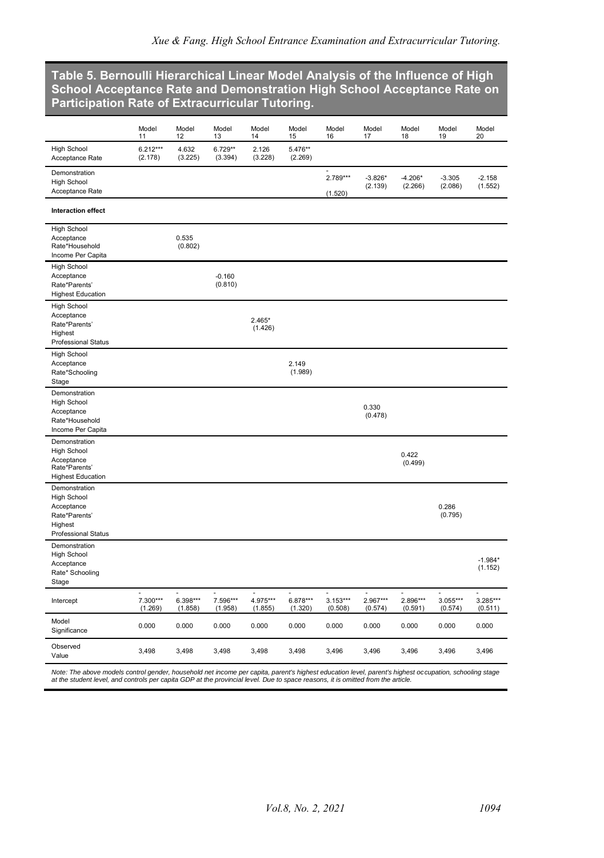#### **Table 5. Bernoulli [Hierarchical](http://scholar.google.com/scholar_url?url=http://www.shehui.pku.edu.cn/upload/editor/file/20180316/20180316085041_4299.pdf&hl=zh-CN&sa=X&ei=Uyv3YMmGCPGAy9YPoYy3sAQ&scisig=AAGBfm0AbW_5yeDXT0YiGX-87405Lth_XA&nossl=1&oi=scholarr) Linear Model Analysis of the Influence of High School Acceptance Rate and Demonstration High School Acceptance Rate on Participation Rate of Extracurricular Tutoring.**

|                                                        | Model<br>11               | Model<br>12         | Model<br>13               | Model<br>14         | Model<br>15           | Model<br>16           | Model<br>17          | Model<br>18          | Model<br>19               | Model<br>20               |
|--------------------------------------------------------|---------------------------|---------------------|---------------------------|---------------------|-----------------------|-----------------------|----------------------|----------------------|---------------------------|---------------------------|
| <b>High School</b><br>Acceptance Rate                  | $6.212***$<br>(2.178)     | 4.632<br>(3.225)    | $6.729**$<br>(3.394)      | 2.126<br>(3.228)    | 5.476**<br>(2.269)    |                       |                      |                      |                           |                           |
| Demonstration<br><b>High School</b><br>Acceptance Rate |                           |                     |                           |                     |                       | 2.789***<br>(1.520)   | $-3.826*$<br>(2.139) | $-4.206*$<br>(2.266) | $-3.305$<br>(2.086)       | $-2.158$<br>(1.552)       |
| <b>Interaction effect</b>                              |                           |                     |                           |                     |                       |                       |                      |                      |                           |                           |
| <b>High School</b>                                     |                           |                     |                           |                     |                       |                       |                      |                      |                           |                           |
| Acceptance<br>Rate*Household                           |                           | 0.535<br>(0.802)    |                           |                     |                       |                       |                      |                      |                           |                           |
| Income Per Capita                                      |                           |                     |                           |                     |                       |                       |                      |                      |                           |                           |
| <b>High School</b>                                     |                           |                     |                           |                     |                       |                       |                      |                      |                           |                           |
| Acceptance                                             |                           |                     | $-0.160$                  |                     |                       |                       |                      |                      |                           |                           |
| Rate*Parents'                                          |                           |                     | (0.810)                   |                     |                       |                       |                      |                      |                           |                           |
| <b>Highest Education</b>                               |                           |                     |                           |                     |                       |                       |                      |                      |                           |                           |
| <b>High School</b>                                     |                           |                     |                           |                     |                       |                       |                      |                      |                           |                           |
| Acceptance<br>Rate*Parents'                            |                           |                     |                           | $2.465*$            |                       |                       |                      |                      |                           |                           |
| Highest                                                |                           |                     |                           | (1.426)             |                       |                       |                      |                      |                           |                           |
| Professional Status                                    |                           |                     |                           |                     |                       |                       |                      |                      |                           |                           |
| High School                                            |                           |                     |                           |                     |                       |                       |                      |                      |                           |                           |
| Acceptance                                             |                           |                     |                           |                     | 2.149                 |                       |                      |                      |                           |                           |
| Rate*Schooling                                         |                           |                     |                           |                     | (1.989)               |                       |                      |                      |                           |                           |
| Stage                                                  |                           |                     |                           |                     |                       |                       |                      |                      |                           |                           |
| Demonstration                                          |                           |                     |                           |                     |                       |                       |                      |                      |                           |                           |
| <b>High School</b><br>Acceptance                       |                           |                     |                           |                     |                       |                       | 0.330                |                      |                           |                           |
| Rate*Household                                         |                           |                     |                           |                     |                       |                       | (0.478)              |                      |                           |                           |
| Income Per Capita                                      |                           |                     |                           |                     |                       |                       |                      |                      |                           |                           |
| Demonstration                                          |                           |                     |                           |                     |                       |                       |                      |                      |                           |                           |
| <b>High School</b>                                     |                           |                     |                           |                     |                       |                       |                      | 0.422                |                           |                           |
| Acceptance<br>Rate*Parents'                            |                           |                     |                           |                     |                       |                       |                      | (0.499)              |                           |                           |
| <b>Highest Education</b>                               |                           |                     |                           |                     |                       |                       |                      |                      |                           |                           |
| Demonstration                                          |                           |                     |                           |                     |                       |                       |                      |                      |                           |                           |
| <b>High School</b>                                     |                           |                     |                           |                     |                       |                       |                      |                      |                           |                           |
| Acceptance                                             |                           |                     |                           |                     |                       |                       |                      |                      | 0.286                     |                           |
| Rate*Parents'                                          |                           |                     |                           |                     |                       |                       |                      |                      | (0.795)                   |                           |
| Highest<br><b>Professional Status</b>                  |                           |                     |                           |                     |                       |                       |                      |                      |                           |                           |
| Demonstration                                          |                           |                     |                           |                     |                       |                       |                      |                      |                           |                           |
| <b>High School</b>                                     |                           |                     |                           |                     |                       |                       |                      |                      |                           |                           |
| Acceptance                                             |                           |                     |                           |                     |                       |                       |                      |                      |                           | $-1.984*$                 |
| Rate* Schooling                                        |                           |                     |                           |                     |                       |                       |                      |                      |                           | (1.152)                   |
| Stage                                                  |                           |                     |                           |                     |                       |                       |                      |                      |                           |                           |
| Intercept                                              | ÷,<br>7.300***<br>(1.269) | 6.398***<br>(1.858) | ä,<br>7.596***<br>(1.958) | 4.975***<br>(1.855) | $6.878***$<br>(1.320) | $3.153***$<br>(0.508) | 2.967***<br>(0.574)  | 2.896***<br>(0.591)  | L.<br>3.055***<br>(0.574) | L,<br>3.285***<br>(0.511) |
| Model                                                  |                           |                     |                           |                     |                       |                       |                      |                      |                           |                           |
| Significance                                           | 0.000                     | 0.000               | 0.000                     | 0.000               | 0.000                 | 0.000                 | 0.000                | 0.000                | 0.000                     | 0.000                     |
| Observed<br>Value                                      | 3,498                     | 3,498               | 3,498                     | 3,498               | 3,498                 | 3,496                 | 3,496                | 3,496                | 3,496                     | 3,496                     |

*Note: The above models control gender, household net income per capita, parent's highest education level, parent's highest occupation, schooling stage at the student level, and controls per capita GDP at the provincial level. Due to space reasons, it is omitted from the article.*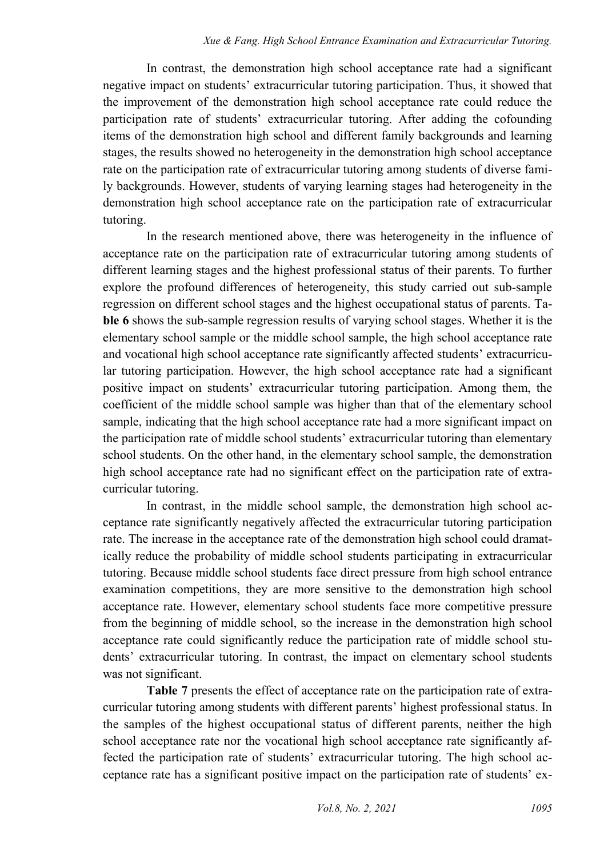In contrast, the demonstration high school acceptance rate had a significant negative impact on students' extracurricular tutoring participation. Thus, it showed that the improvement of the demonstration high school acceptance rate could reduce the participation rate of students' extracurricular tutoring. After adding the cofounding items of the demonstration high school and different family backgrounds and learning stages, the results showed no heterogeneity in the demonstration high school acceptance rate on the participation rate of extracurricular tutoring among students of diverse family backgrounds. However, students of varying learning stages had heterogeneity in the demonstration high school acceptance rate on the participation rate of extracurricular tutoring.

In the research mentioned above, there was heterogeneity in the influence of acceptance rate on the participation rate of extracurricular tutoring among students of different learning stages and the highest professional status of their parents. To further explore the profound differences of heterogeneity, this study carried out sub-sample regression on different school stages and the highest occupational status of parents. Ta**ble 6** shows the sub-sample regression results of varying school stages. Whether it is the elementary school sample or the middle school sample, the high school acceptance rate and vocational high school acceptance rate significantly affected students' extracurricular tutoring participation. However, the high school acceptance rate had a significant positive impact on students' extracurricular tutoring participation. Among them, the coefficient of the middle school sample was higher than that of the elementary school sample, indicating that the high school acceptance rate had a more significant impact on the participation rate of middle school students' extracurricular tutoring than elementary school students. On the other hand, in the elementary school sample, the demonstration high school acceptance rate had no significant effect on the participation rate of extracurricular tutoring.

In contrast, in the middle school sample, the demonstration high school acceptance rate significantly negatively affected the extracurricular tutoring participation rate. The increase in the acceptance rate of the demonstration high school could dramatically reduce the probability of middle school students participating in extracurricular tutoring. Because middle school students face direct pressure from high school entrance examination competitions, they are more sensitive to the demonstration high school acceptance rate. However, elementary school students face more competitive pressure from the beginning of middle school, so the increase in the demonstration high school acceptance rate could significantly reduce the participation rate of middle school students' extracurricular tutoring. In contrast, the impact on elementary school students was not significant.

**Table 7** presents the effect of acceptance rate on the participation rate of extracurricular tutoring among students with different parents' highest professional status. In the samples of the highest occupational status of different parents, neither the high school acceptance rate nor the vocational high school acceptance rate significantly affected the participation rate of students' extracurricular tutoring. The high school acceptance rate has a significant positive impact on the participation rate of students' ex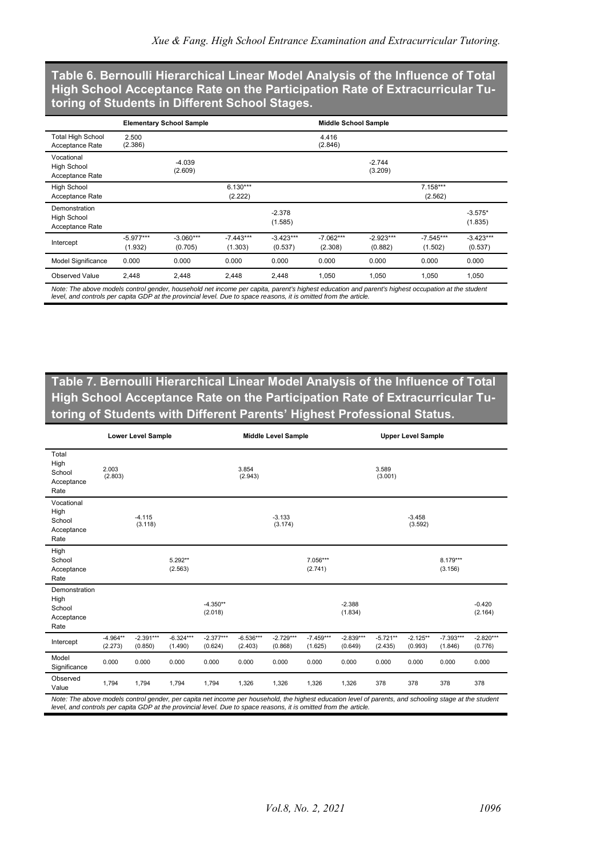**Table 6. Bernoulli [Hierarchical](http://scholar.google.com/scholar_url?url=http://www.shehui.pku.edu.cn/upload/editor/file/20180316/20180316085041_4299.pdf&hl=zh-CN&sa=X&ei=Uyv3YMmGCPGAy9YPoYy3sAQ&scisig=AAGBfm0AbW_5yeDXT0YiGX-87405Lth_XA&nossl=1&oi=scholarr) Linear Model Analysis of the Influence of Total High School Acceptance Rate on the Participation Rate of Extracurricular Tutoring of Students in Different School Stages.**

|                                                        |                        | <b>Elementary School Sample</b> |                        |                        | <b>Middle School Sample</b> |                        |                        |                        |  |  |  |
|--------------------------------------------------------|------------------------|---------------------------------|------------------------|------------------------|-----------------------------|------------------------|------------------------|------------------------|--|--|--|
| <b>Total High School</b><br>Acceptance Rate            | 2.500<br>(2.386)       |                                 |                        |                        | 4.416<br>(2.846)            |                        |                        |                        |  |  |  |
| Vocational<br><b>High School</b><br>Acceptance Rate    |                        | $-4.039$<br>(2.609)             |                        |                        |                             | $-2.744$<br>(3.209)    |                        |                        |  |  |  |
| <b>High School</b><br>Acceptance Rate                  |                        |                                 | $6.130***$<br>(2.222)  |                        |                             |                        | $7.158***$<br>(2.562)  |                        |  |  |  |
| Demonstration<br><b>High School</b><br>Acceptance Rate |                        |                                 |                        | $-2.378$<br>(1.585)    |                             |                        |                        | $-3.575*$<br>(1.835)   |  |  |  |
| Intercept                                              | $-5.977***$<br>(1.932) | $-3.060***$<br>(0.705)          | $-7.443***$<br>(1.303) | $-3.423***$<br>(0.537) | $-7.062***$<br>(2.308)      | $-2.923***$<br>(0.882) | $-7.545***$<br>(1.502) | $-3.423***$<br>(0.537) |  |  |  |
| Model Significance                                     | 0.000                  | 0.000                           | 0.000                  | 0.000                  | 0.000                       | 0.000                  | 0.000                  | 0.000                  |  |  |  |
| Observed Value                                         | 2.448                  | 2.448                           | 2.448                  | 2.448                  | 1.050                       | 1.050                  | 1.050                  | 1.050                  |  |  |  |

**Table 7. Bernoulli [Hierarchical](http://scholar.google.com/scholar_url?url=http://www.shehui.pku.edu.cn/upload/editor/file/20180316/20180316085041_4299.pdf&hl=zh-CN&sa=X&ei=Uyv3YMmGCPGAy9YPoYy3sAQ&scisig=AAGBfm0AbW_5yeDXT0YiGX-87405Lth_XA&nossl=1&oi=scholarr) Linear Model Analysis of the Influence of Total High School Acceptance Rate on the Participation Rate of Extracurricular Tutoring of Students with Different Parents' Highest Professional Status.**

| <b>Lower Level Sample</b>                                                                                                                                                                                                                                                   |                       |                        |                        |                        | <b>Middle Level Sample</b> |                        |                        |                        | <b>Upper Level Sample</b> |                       |                        |                        |
|-----------------------------------------------------------------------------------------------------------------------------------------------------------------------------------------------------------------------------------------------------------------------------|-----------------------|------------------------|------------------------|------------------------|----------------------------|------------------------|------------------------|------------------------|---------------------------|-----------------------|------------------------|------------------------|
| Total<br>High<br>School<br>Acceptance<br>Rate                                                                                                                                                                                                                               | 2.003<br>(2.803)      |                        |                        |                        | 3.854<br>(2.943)           |                        |                        |                        | 3.589<br>(3.001)          |                       |                        |                        |
| Vocational<br>High<br>School<br>Acceptance<br>Rate                                                                                                                                                                                                                          |                       | $-4.115$<br>(3.118)    |                        |                        |                            | $-3.133$<br>(3.174)    |                        |                        |                           | $-3.458$<br>(3.592)   |                        |                        |
| High<br>School<br>Acceptance<br>Rate                                                                                                                                                                                                                                        |                       |                        | 5.292**<br>(2.563)     |                        |                            |                        | 7.056***<br>(2.741)    |                        |                           |                       | 8.179***<br>(3.156)    |                        |
| Demonstration<br>High<br>School<br>Acceptance<br>Rate                                                                                                                                                                                                                       |                       |                        |                        | $-4.350**$<br>(2.018)  |                            |                        |                        | $-2.388$<br>(1.834)    |                           |                       |                        | $-0.420$<br>(2.164)    |
| Intercept                                                                                                                                                                                                                                                                   | $-4.964**$<br>(2.273) | $-2.391***$<br>(0.850) | $-6.324***$<br>(1.490) | $-2.377***$<br>(0.624) | $-6.536***$<br>(2.403)     | $-2.729***$<br>(0.868) | $-7.459***$<br>(1.625) | $-2.839***$<br>(0.649) | $-5.721**$<br>(2.435)     | $-2.125**$<br>(0.993) | $-7.393***$<br>(1.846) | $-2.820***$<br>(0.776) |
| Model<br>Significance                                                                                                                                                                                                                                                       | 0.000                 | 0.000                  | 0.000                  | 0.000                  | 0.000                      | 0.000                  | 0.000                  | 0.000                  | 0.000                     | 0.000                 | 0.000                  | 0.000                  |
| Observed<br>Value                                                                                                                                                                                                                                                           | 1,794                 | 1,794                  | 1.794                  | 1,794                  | 1,326                      | 1,326                  | 1,326                  | 1,326                  | 378                       | 378                   | 378                    | 378                    |
| Note: The above models control gender, per capita net income per household, the highest education level of parents, and schooling stage at the student<br>level, and controls per capita GDP at the provincial level. Due to space reasons, it is omitted from the article. |                       |                        |                        |                        |                            |                        |                        |                        |                           |                       |                        |                        |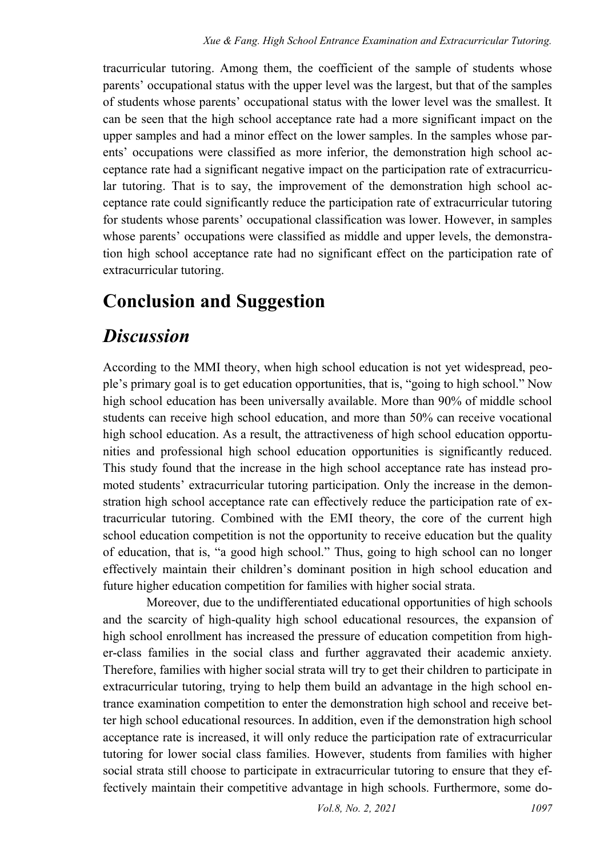tracurricular tutoring. Among them, the coefficient of the sample of students whose parents' occupational status with the upper level was the largest, but that of the samples of students whose parents' occupational status with the lower level was the smallest. It can be seen that the high school acceptance rate had a more significant impact on the upper samples and had a minor effect on the lower samples. In the samples whose parents' occupations were classified as more inferior, the demonstration high school acceptance rate had a significant negative impact on the participation rate of extracurricular tutoring. That is to say, the improvement of the demonstration high school acceptance rate could significantly reduce the participation rate of extracurricular tutoring for students whose parents' occupational classification was lower. However, in samples whose parents' occupations were classified as middle and upper levels, the demonstration high school acceptance rate had no significant effect on the participation rate of extracurricular tutoring.

## **Conclusion and Suggestion**

## *Discussion*

According to the MMI theory, when high school education is not yet widespread, people's primary goal is to get education opportunities, that is, "going to high school." Now high school education has been universally available. More than 90% of middle school students can receive high school education, and more than 50% can receive vocational high school education. As a result, the attractiveness of high school education opportunities and professional high school education opportunities is significantly reduced. This study found that the increase in the high school acceptance rate has instead promoted students' extracurricular tutoring participation. Only the increase in the demonstration high school acceptance rate can effectively reduce the participation rate of extracurricular tutoring. Combined with the EMI theory, the core of the current high school education competition is not the opportunity to receive education but the quality of education, that is, "a good high school." Thus, going to high school can no longer effectively maintain their children's dominant position in high school education and future higher education competition for families with higher social strata.

Moreover, due to the undifferentiated educational opportunities of high schools and the scarcity of high-quality high school educational resources, the expansion of high school enrollment has increased the pressure of education competition from higher-class families in the social class and further aggravated their academic anxiety. Therefore, families with higher social strata will try to get their children to participate in extracurricular tutoring, trying to help them build an advantage in the high school entrance examination competition to enter the demonstration high school and receive better high school educational resources. In addition, even if the demonstration high school acceptance rate is increased, it will only reduce the participation rate of extracurricular tutoring for lower social class families. However, students from families with higher social strata still choose to participate in extracurricular tutoring to ensure that they effectively maintain their competitive advantage in high schools. Furthermore, some do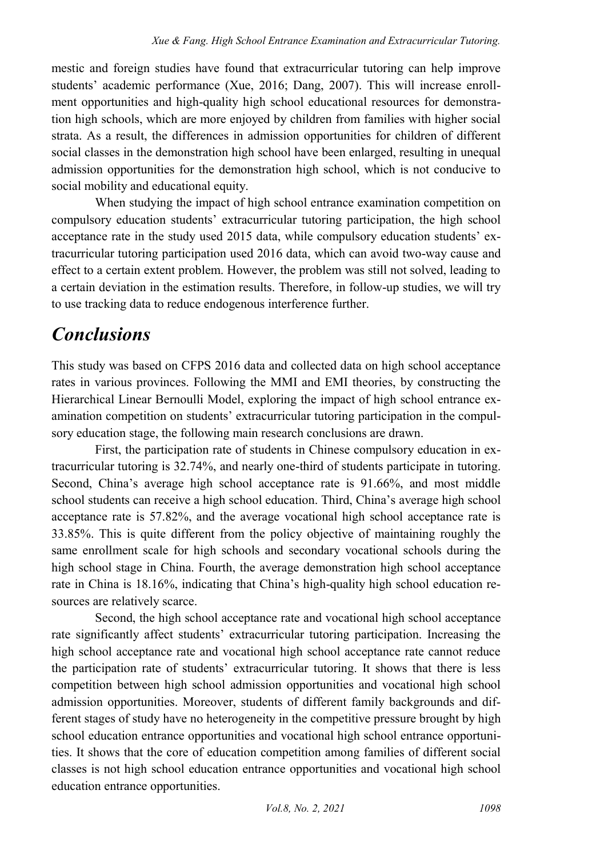mestic and foreign studies have found that extracurricular tutoring can help improve students' academic performance (Xue, 2016; Dang, 2007). This will increase enrollment opportunities and high-quality high school educational resources for demonstration high schools, which are more enjoyed by children from families with higher social strata. As a result, the differences in admission opportunities for children of different social classes in the demonstration high school have been enlarged, resulting in unequal admission opportunities for the demonstration high school, which is not conducive to social mobility and educational equity.

When studying the impact of high school entrance examination competition on compulsory education students' extracurricular tutoring participation, the high school acceptance rate in the study used 2015 data, while compulsory education students' extracurricular tutoring participation used 2016 data, which can avoid two-way cause and effect to a certain extent problem. However, the problem was still not solved, leading to a certain deviation in the estimation results. Therefore, in follow-up studies, we will try to use tracking data to reduce endogenous interference further.

## *Conclusions*

This study was based on CFPS 2016 data and collected data on high school acceptance rates in various provinces. Following the MMI and EMI theories, by constructing the Hierarchical Linear Bernoulli Model, exploring the impact of high school entrance examination competition on students' extracurricular tutoring participation in the compulsory education stage, the following main research conclusions are drawn.

First, the participation rate of students in Chinese compulsory education in extracurricular tutoring is 32.74%, and nearly one-third of students participate in tutoring. Second, China's average high school acceptance rate is 91.66%, and most middle school students can receive a high school education. Third, China's average high school acceptance rate is 57.82%, and the average vocational high school acceptance rate is 33.85%. This is quite different from the policy objective of maintaining roughly the same enrollment scale for high schools and secondary vocational schools during the high school stage in China. Fourth, the average demonstration high school acceptance rate in China is 18.16%, indicating that China's high-quality high school education resources are relatively scarce.

Second, the high school acceptance rate and vocational high school acceptance rate significantly affect students' extracurricular tutoring participation. Increasing the high school acceptance rate and vocational high school acceptance rate cannot reduce the participation rate of students' extracurricular tutoring. It shows that there is less competition between high school admission opportunities and vocational high school admission opportunities. Moreover, students of different family backgrounds and different stages of study have no heterogeneity in the competitive pressure brought by high school education entrance opportunities and vocational high school entrance opportunities. It shows that the core of education competition among families of different social classes is not high school education entrance opportunities and vocational high school education entrance opportunities.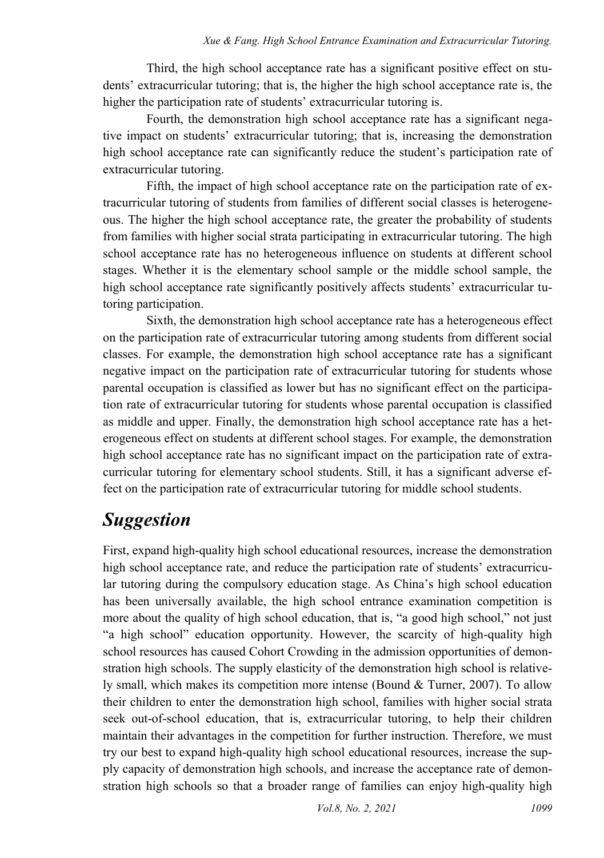Third, the high school acceptance rate has a significant positive effect on students' extracurricular tutoring; that is, the higher the high school acceptance rate is, the higher the participation rate of students' extracurricular tutoring is.

Fourth, the demonstration high school acceptance rate has a significant negative impact on students' extracurricular tutoring; that is, increasing the demonstration high school acceptance rate can significantly reduce the student's participation rate of extracurricular tutoring.

Fifth, the impact of high school acceptance rate on the participation rate of extracurricular tutoring of students from families of different social classes is heterogeneous. The higher the high school acceptance rate, the greater the probability of students from families with higher social strata participating in extracurricular tutoring. The high school acceptance rate has no heterogeneous influence on students at different school stages. Whether it is the elementary school sample or the middle school sample, the high school acceptance rate significantly positively affects students' extracurricular tutoring participation.

Sixth, the demonstration high school acceptance rate has a heterogeneous effect on the participation rate of extracurricular tutoring among students from different social classes. For example, the demonstration high school acceptance rate has a significant negative impact on the participation rate of extracurricular tutoring for students whose parental occupation is classified as lower but has no significant effect on the participation rate of extracurricular tutoring for students whose parental occupation is classified as middle and upper. Finally, the demonstration high school acceptance rate has a heterogeneous effect on students at different school stages. For example, the demonstration high school acceptance rate has no significant impact on the participation rate of extracurricular tutoring for elementary school students. Still, it has a significant adverse effect on the participation rate of extracurricular tutoring for middle school students.

## *Suggestion*

First, expand high-quality high school educational resources, increase the demonstration high school acceptance rate, and reduce the participation rate of students' extracurricular tutoring during the compulsory education stage. As China's high school education has been universally available, the high school entrance examination competition is more about the quality of high school education, that is, "a good high school," not just "a high school" education opportunity. However, the scarcity of high-quality high school resources has caused Cohort Crowding in the admission opportunities of demonstration high schools. The supply elasticity of the demonstration high school is relatively small, which makes its competition more intense (Bound & Turner, 2007). To allow their children to enter the demonstration high school, families with higher social strata seek out-of-school education, that is, extracurricular tutoring, to help their children maintain their advantages in the competition for further instruction. Therefore, we must try our best to expand high-quality high school educational resources, increase the supply capacity of demonstration high schools, and increase the acceptance rate of demonstration high schools so that a broader range of families can enjoy high-quality high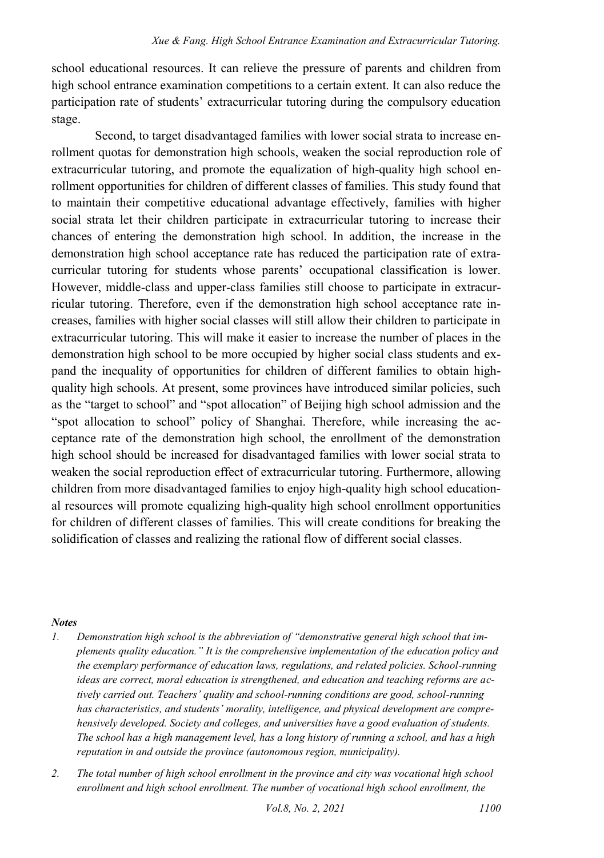school educational resources. It can relieve the pressure of parents and children from high school entrance examination competitions to a certain extent. It can also reduce the participation rate of students' extracurricular tutoring during the compulsory education stage.

Second, to target disadvantaged families with lower social strata to increase enrollment quotas for demonstration high schools, weaken the social reproduction role of extracurricular tutoring, and promote the equalization of high-quality high school enrollment opportunities for children of different classes of families. This study found that to maintain their competitive educational advantage effectively, families with higher social strata let their children participate in extracurricular tutoring to increase their chances of entering the demonstration high school. In addition, the increase in the demonstration high school acceptance rate has reduced the participation rate of extracurricular tutoring for students whose parents' occupational classification is lower. However, middle-class and upper-class families still choose to participate in extracurricular tutoring. Therefore, even if the demonstration high school acceptance rate increases, families with higher social classes will still allow their children to participate in extracurricular tutoring. This will make it easier to increase the number of places in the demonstration high school to be more occupied by higher social class students and expand the inequality of opportunities for children of different families to obtain highquality high schools. At present, some provinces have introduced similar policies, such as the "target to school" and "spot allocation" of Beijing high school admission and the "spot allocation to school" policy of Shanghai. Therefore, while increasing the acceptance rate of the demonstration high school, the enrollment of the demonstration high school should be increased for disadvantaged families with lower social strata to weaken the social reproduction effect of extracurricular tutoring. Furthermore, allowing children from more disadvantaged families to enjoy high-quality high school educational resources will promote equalizing high-quality high school enrollment opportunities for children of different classes of families. This will create conditions for breaking the solidification of classes and realizing the rational flow of different social classes.

#### *Notes*

- <span id="page-19-0"></span>*1. Demonstration high school is the abbreviation of "demonstrative general high school that implements quality education." It is the comprehensive implementation of the education policy and the exemplary performance of education laws, regulations, and related policies. School-running ideas are correct, moral education is strengthened, and education and teaching reforms are actively carried out. Teachers' quality and school-running conditions are good, school-running has characteristics, and students' morality, intelligence, and physical development are comprehensively developed. Society and colleges, and universities have a good evaluation of students. The school has a high management level, has a long history of running a school, and has a high reputation in and outside the province (autonomous region, municipality).*
- <span id="page-19-1"></span>*2. The total number of high school enrollment in the province and city was vocational high school enrollment and high school enrollment. The number of vocational high school enrollment, the*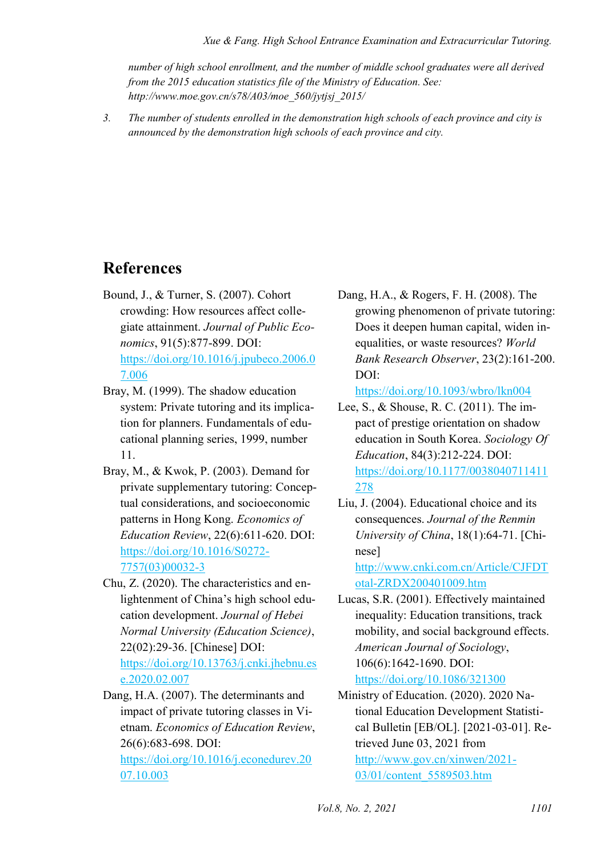*Xue & Fang. High School Entrance Examination and Extracurricular Tutoring.* 

*number of high school enrollment, and the number of middle school graduates were all derived from the 2015 education statistics file of the Ministry of Education. See: http://www.moe.gov.cn/s78/A03/moe\_560/jytjsj\_2015/* 

<span id="page-20-0"></span>*3. The number of students enrolled in the demonstration high schools of each province and city is announced by the demonstration high schools of each province and city.* 

### **References**

- Bound, J., & Turner, S. (2007). Cohort crowding: How resources affect collegiate attainment. *Journal of Public Economics*, 91(5):877-899. DOI: [https://doi.org/10.1016/j.jpubeco.2006.0](https://doi.org/10.1016/j.jpubeco.2006.07.006) [7.006](https://doi.org/10.1016/j.jpubeco.2006.07.006)
- Bray, M. (1999). The shadow education system: Private tutoring and its implication for planners. Fundamentals of educational planning series, 1999, number 11.
- Bray, M., & Kwok, P. (2003). Demand for private supplementary tutoring: Conceptual considerations, and socioeconomic patterns in Hong Kong. *Economics of Education Review*, 22(6):611-620. DOI: [https://doi.org/10.1016/S0272-](https://doi.org/10.1016/S0272-7757(03)00032-3) [7757\(03\)00032-3](https://doi.org/10.1016/S0272-7757(03)00032-3)
- Chu, Z. (2020). The characteristics and enlightenment of China's high school education development. *Journal of Hebei Normal University (Education Science)*, 22(02):29-36. [Chinese] DOI: [https://doi.org/10.13763/j.cnki.jhebnu.es](https://doi.org/10.13763/j.cnki.jhebnu.ese.2020.02.007) [e.2020.02.007](https://doi.org/10.13763/j.cnki.jhebnu.ese.2020.02.007)
- Dang, H.A. (2007). The determinants and impact of private tutoring classes in Vietnam. *Economics of Education Review*, 26(6):683-698. DOI:

[https://doi.org/10.1016/j.econedurev.20](https://doi.org/10.1016/j.econedurev.2007.10.003) [07.10.003](https://doi.org/10.1016/j.econedurev.2007.10.003) 

Dang, H.A., & Rogers, F. H. (2008). The growing phenomenon of private tutoring: Does it deepen human capital, widen inequalities, or waste resources? *World Bank Research Observer*, 23(2):161-200. DOI:

<https://doi.org/10.1093/wbro/lkn004>

Lee, S., & Shouse, R. C. (2011). The impact of prestige orientation on shadow education in South Korea. *Sociology Of Education*, 84(3):212-224. DOI: [https://doi.org/10.1177/0038040711411](https://doi.org/10.1177/0038040711411278) [278](https://doi.org/10.1177/0038040711411278) 

Liu, J. (2004). Educational choice and its consequences. *Journal of the Renmin University of China*, 18(1):64-71. [Chinese] [http://www.cnki.com.cn/Article/CJFDT](http://www.cnki.com.cn/Article/CJFDTotal-ZRDX200401009.htm)

[otal-ZRDX200401009.htm](http://www.cnki.com.cn/Article/CJFDTotal-ZRDX200401009.htm)

Lucas, S.R. (2001). Effectively maintained inequality: Education transitions, track mobility, and social background effects. *American Journal of Sociology*, 106(6):1642-1690. DOI: <https://doi.org/10.1086/321300>

Ministry of Education. (2020). 2020 National Education Development Statistical Bulletin [EB/OL]. [2021-03-01]. Retrieved June 03, 2021 from [http://www.gov.cn/xinwen/2021-](http://www.gov.cn/xinwen/2021-03/01/content_5589503.htm) [03/01/content\\_5589503.htm](http://www.gov.cn/xinwen/2021-03/01/content_5589503.htm)